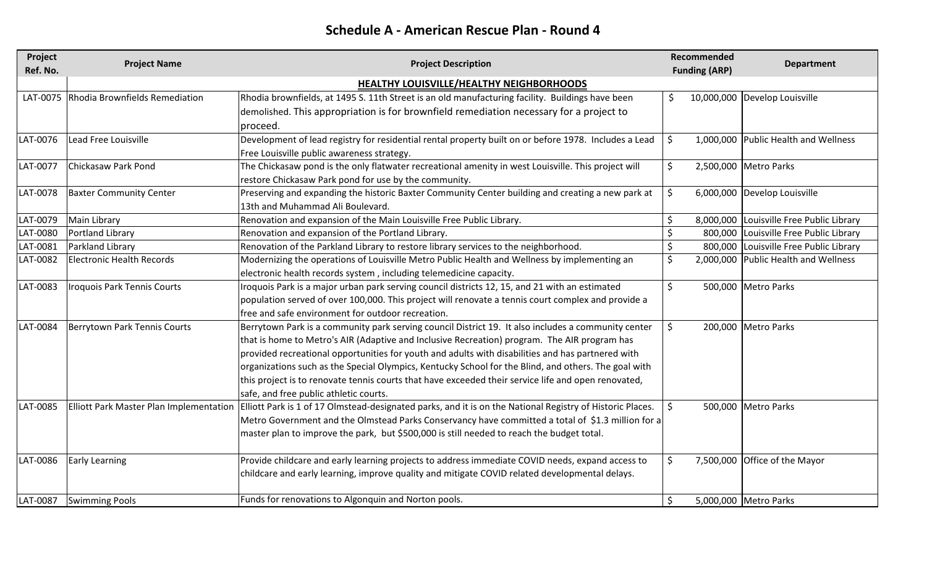## **Schedule A - American Rescue Plan - Round 4**

| Project  | <b>Project Name</b>                     | <b>Project Description</b>                                                                                | <b>Recommended</b> |                      | <b>Department</b>                        |
|----------|-----------------------------------------|-----------------------------------------------------------------------------------------------------------|--------------------|----------------------|------------------------------------------|
| Ref. No. |                                         |                                                                                                           |                    | <b>Funding (ARP)</b> |                                          |
|          |                                         | <b>HEALTHY LOUISVILLE/HEALTHY NEIGHBORHOODS</b>                                                           |                    |                      |                                          |
|          | LAT-0075 Rhodia Brownfields Remediation | Rhodia brownfields, at 1495 S. 11th Street is an old manufacturing facility. Buildings have been          | \$.                |                      | 10,000,000 Develop Louisville            |
|          |                                         | demolished. This appropriation is for brownfield remediation necessary for a project to                   |                    |                      |                                          |
|          |                                         | proceed.                                                                                                  |                    |                      |                                          |
| LAT-0076 | Lead Free Louisville                    | Development of lead registry for residential rental property built on or before 1978. Includes a Lead     | \$                 |                      | 1,000,000 Public Health and Wellness     |
|          |                                         | Free Louisville public awareness strategy.                                                                |                    |                      |                                          |
| LAT-0077 | Chickasaw Park Pond                     | The Chickasaw pond is the only flatwater recreational amenity in west Louisville. This project will       | \$                 |                      | 2,500,000 Metro Parks                    |
|          |                                         | restore Chickasaw Park pond for use by the community.                                                     |                    |                      |                                          |
| LAT-0078 | <b>Baxter Community Center</b>          | Preserving and expanding the historic Baxter Community Center building and creating a new park at         | \$                 |                      | 6,000,000 Develop Louisville             |
|          |                                         | 13th and Muhammad Ali Boulevard.                                                                          |                    |                      |                                          |
| LAT-0079 | Main Library                            | Renovation and expansion of the Main Louisville Free Public Library.                                      | \$                 |                      | 8,000,000 Louisville Free Public Library |
| LAT-0080 | Portland Library                        | Renovation and expansion of the Portland Library.                                                         | \$                 |                      | 800,000 Louisville Free Public Library   |
| LAT-0081 | Parkland Library                        | Renovation of the Parkland Library to restore library services to the neighborhood.                       | \$                 |                      | 800,000 Louisville Free Public Library   |
| LAT-0082 | <b>Electronic Health Records</b>        | Modernizing the operations of Louisville Metro Public Health and Wellness by implementing an              | \$                 |                      | 2,000,000 Public Health and Wellness     |
|          |                                         | electronic health records system, including telemedicine capacity.                                        |                    |                      |                                          |
| LAT-0083 | Iroquois Park Tennis Courts             | Iroquois Park is a major urban park serving council districts 12, 15, and 21 with an estimated            | \$                 |                      | 500,000 Metro Parks                      |
|          |                                         | population served of over 100,000. This project will renovate a tennis court complex and provide a        |                    |                      |                                          |
|          |                                         | free and safe environment for outdoor recreation.                                                         |                    |                      |                                          |
| LAT-0084 | <b>Berrytown Park Tennis Courts</b>     | Berrytown Park is a community park serving council District 19. It also includes a community center       | \$                 |                      | 200,000 Metro Parks                      |
|          |                                         | that is home to Metro's AIR (Adaptive and Inclusive Recreation) program. The AIR program has              |                    |                      |                                          |
|          |                                         | provided recreational opportunities for youth and adults with disabilities and has partnered with         |                    |                      |                                          |
|          |                                         | organizations such as the Special Olympics, Kentucky School for the Blind, and others. The goal with      |                    |                      |                                          |
|          |                                         | this project is to renovate tennis courts that have exceeded their service life and open renovated,       |                    |                      |                                          |
|          |                                         | safe, and free public athletic courts.                                                                    |                    |                      |                                          |
| LAT-0085 | Elliott Park Master Plan Implementation | Elliott Park is 1 of 17 Olmstead-designated parks, and it is on the National Registry of Historic Places. | \$                 |                      | 500,000 Metro Parks                      |
|          |                                         | Metro Government and the Olmstead Parks Conservancy have committed a total of \$1.3 million for a         |                    |                      |                                          |
|          |                                         | master plan to improve the park, but \$500,000 is still needed to reach the budget total.                 |                    |                      |                                          |
|          |                                         |                                                                                                           |                    |                      |                                          |
| LAT-0086 | <b>Early Learning</b>                   | Provide childcare and early learning projects to address immediate COVID needs, expand access to          | \$                 |                      | 7,500,000 Office of the Mayor            |
|          |                                         | childcare and early learning, improve quality and mitigate COVID related developmental delays.            |                    |                      |                                          |
|          |                                         |                                                                                                           |                    |                      |                                          |
| LAT-0087 | <b>Swimming Pools</b>                   | Funds for renovations to Algonquin and Norton pools.                                                      | \$                 |                      | 5,000,000 Metro Parks                    |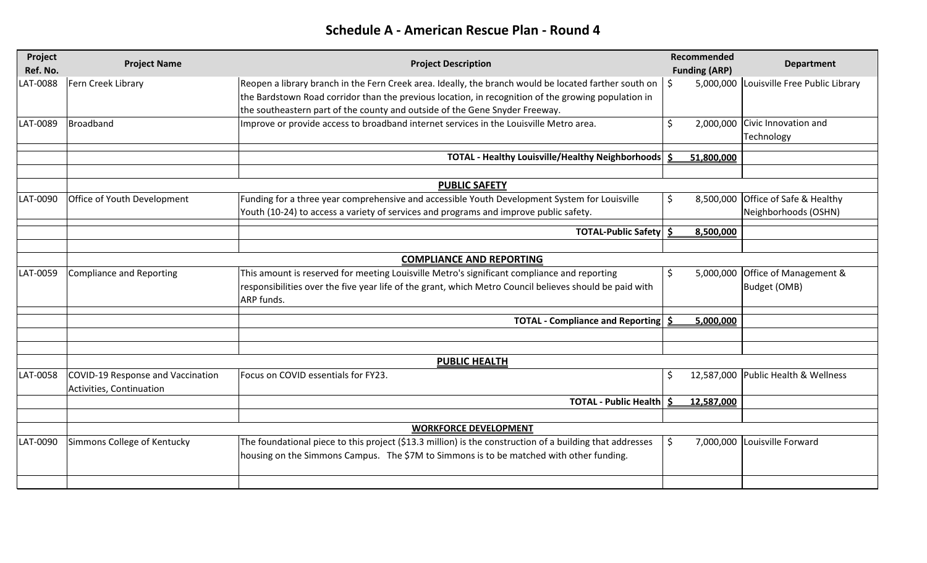## **Schedule A - American Rescue Plan - Round 4**

| Project<br>Ref. No. | <b>Project Name</b>               | <b>Project Description</b>                                                                               | Recommended<br><b>Funding (ARP)</b> | <b>Department</b>                        |
|---------------------|-----------------------------------|----------------------------------------------------------------------------------------------------------|-------------------------------------|------------------------------------------|
| AT-0088             | Fern Creek Library                | Reopen a library branch in the Fern Creek area. Ideally, the branch would be located farther south on    | \$                                  | 5,000,000 Louisville Free Public Library |
|                     |                                   | the Bardstown Road corridor than the previous location, in recognition of the growing population in      |                                     |                                          |
|                     |                                   | the southeastern part of the county and outside of the Gene Snyder Freeway.                              |                                     |                                          |
| LAT-0089            | Broadband                         | Improve or provide access to broadband internet services in the Louisville Metro area.                   | \$                                  | 2,000,000 Civic Innovation and           |
|                     |                                   |                                                                                                          |                                     | Technology                               |
|                     |                                   | <b>TOTAL - Healthy Louisville/Healthy Neighborhoods</b>                                                  | 51,800,000                          |                                          |
|                     |                                   |                                                                                                          |                                     |                                          |
|                     |                                   | <b>PUBLIC SAFETY</b>                                                                                     |                                     |                                          |
| LAT-0090            | Office of Youth Development       | Funding for a three year comprehensive and accessible Youth Development System for Louisville            | S                                   | 8,500,000 Office of Safe & Healthy       |
|                     |                                   | Youth (10-24) to access a variety of services and programs and improve public safety.                    |                                     | Neighborhoods (OSHN)                     |
|                     |                                   | <b>TOTAL-Public Safety</b>                                                                               | 8,500,000                           |                                          |
|                     |                                   |                                                                                                          |                                     |                                          |
|                     |                                   | <b>COMPLIANCE AND REPORTING</b>                                                                          |                                     |                                          |
| LAT-0059            | <b>Compliance and Reporting</b>   | This amount is reserved for meeting Louisville Metro's significant compliance and reporting              | \$.                                 | 5,000,000 Office of Management &         |
|                     |                                   | responsibilities over the five year life of the grant, which Metro Council believes should be paid with  |                                     | Budget (OMB)                             |
|                     |                                   | ARP funds.                                                                                               |                                     |                                          |
|                     |                                   |                                                                                                          |                                     |                                          |
|                     |                                   | <b>TOTAL - Compliance and Reporting</b>                                                                  | 5,000,000<br>-Ś                     |                                          |
|                     |                                   |                                                                                                          |                                     |                                          |
|                     |                                   | <b>PUBLIC HEALTH</b>                                                                                     |                                     |                                          |
| LAT-0058            | COVID-19 Response and Vaccination | Focus on COVID essentials for FY23.                                                                      | \$                                  | 12,587,000 Public Health & Wellness      |
|                     | Activities, Continuation          |                                                                                                          |                                     |                                          |
|                     |                                   | <b>TOTAL - Public Health</b>                                                                             | 12,587,000<br>-S                    |                                          |
|                     |                                   |                                                                                                          |                                     |                                          |
|                     |                                   | <b>WORKFORCE DEVELOPMENT</b>                                                                             |                                     |                                          |
| LAT-0090            | Simmons College of Kentucky       | The foundational piece to this project (\$13.3 million) is the construction of a building that addresses | \$                                  | 7,000,000 Louisville Forward             |
|                     |                                   | housing on the Simmons Campus. The \$7M to Simmons is to be matched with other funding.                  |                                     |                                          |
|                     |                                   |                                                                                                          |                                     |                                          |
|                     |                                   |                                                                                                          |                                     |                                          |